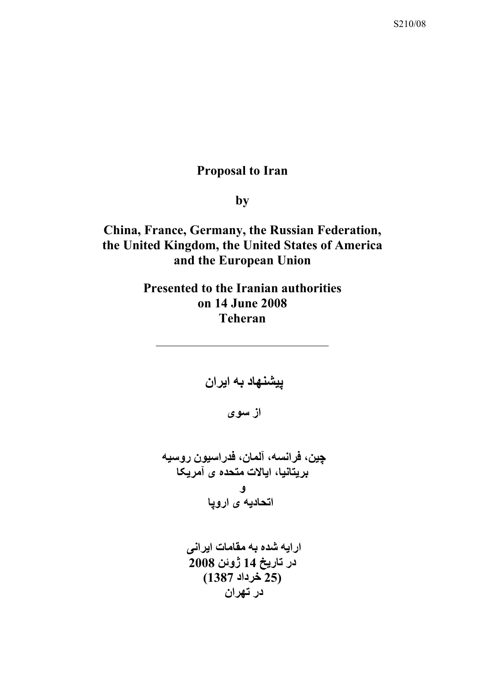S210/08

# **Proposal to Iran**

**by** 

# **China, France, Germany, the Russian Federation, the United Kingdom, the United States of America and the European Union**

# **Presented to the Iranian authorities on 14 June 2008 Teheran**

 $\overline{a}$ 

**از سوی چين، فرانسه، آلمان، فدراسيون روسيه بريتانيا، ايالات متحده ی آمريکا و اتحاديِه ی اروپا**

**پيشنهاد به ايران**

**ارايه شده به مقامات ايرانی در تاريخ 14 ژوئن 2008 (25 خرداد 1387 ) در تهران**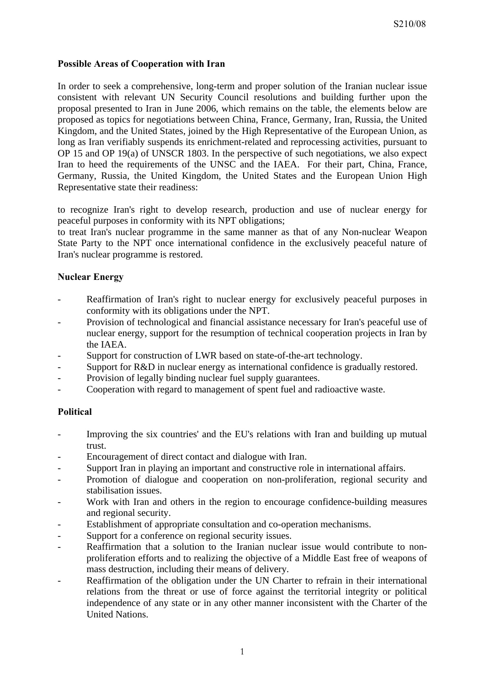# **Possible Areas of Cooperation with Iran**

In order to seek a comprehensive, long-term and proper solution of the Iranian nuclear issue consistent with relevant UN Security Council resolutions and building further upon the proposal presented to Iran in June 2006, which remains on the table, the elements below are proposed as topics for negotiations between China, France, Germany, Iran, Russia, the United Kingdom, and the United States, joined by the High Representative of the European Union, as long as Iran verifiably suspends its enrichment-related and reprocessing activities, pursuant to OP 15 and OP 19(a) of UNSCR 1803. In the perspective of such negotiations, we also expect Iran to heed the requirements of the UNSC and the IAEA. For their part, China, France, Germany, Russia, the United Kingdom, the United States and the European Union High Representative state their readiness:

to recognize Iran's right to develop research, production and use of nuclear energy for peaceful purposes in conformity with its NPT obligations;

to treat Iran's nuclear programme in the same manner as that of any Non-nuclear Weapon State Party to the NPT once international confidence in the exclusively peaceful nature of Iran's nuclear programme is restored.

## **Nuclear Energy**

- Reaffirmation of Iran's right to nuclear energy for exclusively peaceful purposes in conformity with its obligations under the NPT.
- Provision of technological and financial assistance necessary for Iran's peaceful use of nuclear energy, support for the resumption of technical cooperation projects in Iran by the IAEA.
- Support for construction of LWR based on state-of-the-art technology.
- Support for R&D in nuclear energy as international confidence is gradually restored.
- Provision of legally binding nuclear fuel supply guarantees.
- Cooperation with regard to management of spent fuel and radioactive waste.

## **Political**

- Improving the six countries' and the EU's relations with Iran and building up mutual trust.
- Encouragement of direct contact and dialogue with Iran.
- Support Iran in playing an important and constructive role in international affairs.
- Promotion of dialogue and cooperation on non-proliferation, regional security and stabilisation issues.
- Work with Iran and others in the region to encourage confidence-building measures and regional security.
- Establishment of appropriate consultation and co-operation mechanisms.
- Support for a conference on regional security issues.
- Reaffirmation that a solution to the Iranian nuclear issue would contribute to non proliferation efforts and to realizing the objective of a Middle East free of weapons of mass destruction, including their means of delivery.
- Reaffirmation of the obligation under the UN Charter to refrain in their international relations from the threat or use of force against the territorial integrity or political independence of any state or in any other manner inconsistent with the Charter of the United Nations.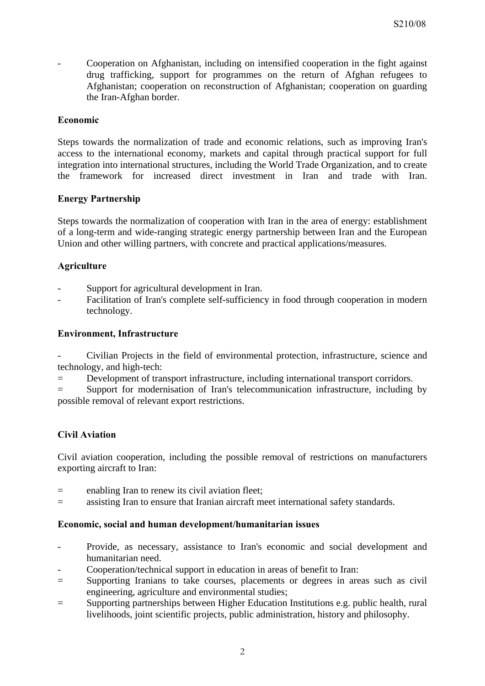- Cooperation on Afghanistan, including on intensified cooperation in the fight against drug trafficking, support for programmes on the return of Afghan refugees to Afghanistan; cooperation on reconstruction of Afghanistan; cooperation on guarding the Iran-Afghan border.

# **Economic**

Steps towards the normalization of trade and economic relations, such as improving Iran's access to the international economy, markets and capital through practical support for full integration into international structures, including the World Trade Organization, and to create<br>the framework for increased direct investment in Iran and trade with Iran increased direct investment in Iran and trade with Iran.

# **Energy Partnership**

Steps towards the normalization of cooperation with Iran in the area of energy: establishment of a long-term and wide-ranging strategic energy partnership between Iran and the European Union and other willing partners, with concrete and practical applications/measures.

# **Agriculture**

- Support for agricultural development in Iran.
- Facilitation of Iran's complete self-sufficiency in food through cooperation in modern technology.

# **Environment, Infrastructure**

- Civilian Projects in the field of environmental protection, infrastructure, science and technology, and high-tech:

= Development of transport infrastructure, including international transport corridors.

= Support for modernisation of Iran's telecommunication infrastructure, including by possible removal of relevant export restrictions.

# **Civil Aviation**

Civil aviation cooperation, including the possible removal of restrictions on manufacturers exporting aircraft to Iran:

- = enabling Iran to renew its civil aviation fleet;
- = assisting Iran to ensure that Iranian aircraft meet international safety standards.

## **Economic, social and human development/humanitarian issues**

- Provide, as necessary, assistance to Iran's economic and social development and humanitarian need.
- Cooperation/technical support in education in areas of benefit to Iran:
- = Supporting Iranians to take courses, placements or degrees in areas such as civil engineering, agriculture and environmental studies;
- = Supporting partnerships between Higher Education Institutions e.g. public health, rural livelihoods, joint scientific projects, public administration, history and philosophy.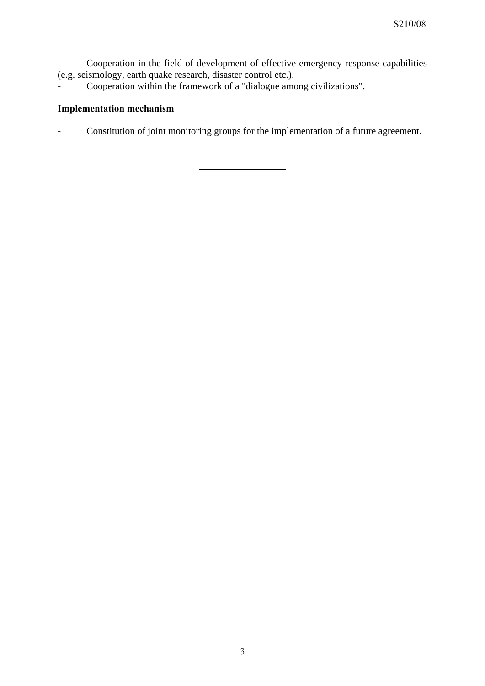- Cooperation in the field of development of effective emergency response capabilities (e.g. seismology, earth quake research, disaster control etc.).
- Cooperation within the framework of a "dialogue among civilizations".

 $\overline{a}$ 

# **Implementation mechanism**

- Constitution of joint monitoring groups for the implementation of a future agreement.

3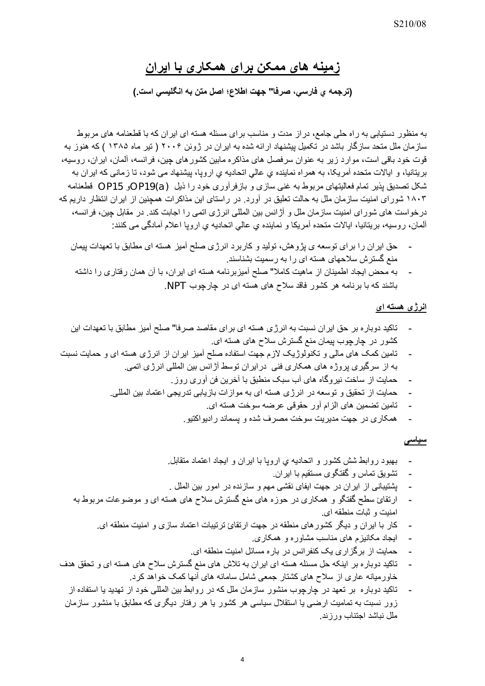S210/08

# **زمينه های ممکن برای همکاری با ايران**

**(ترجمه ي فارسي، صرفا" جهت اطلاع؛ اصل متن به انگليسي است.)** 

به منظور دستيابی به راه حلی جامع، دراز مدت و مناسب برای مسئله هسته ای ايران که با قطعنامه های مربوط سازمان ملل متحد سازگار باشد در تکميل پيشنهاد ارائه شده به ايران در ژوئن ٢٠٠۶ ( تير ماه ١٣٨۵ ) که هنوز به قوت خود باقی است، موارد زير به عنوان سرفصل های مذاکره مابين کشورهای چين، فرانسه، آلمان، ايران، روسيه، بريتانيا، و ايالات متحده آمريکا، به همراه نماينده ي عالي اتحاديه ي اروپا، پيشنهاد می شود، تا زمانی که ايران به شکل تصديق پذير تمام فعاليتهای مربوط به غنی سازی و بازفرآوری خود را ذيل (a(19OPو 15OP قطعنامه ١٨٠٣ شورای امنيت سازمان ملل به حالت تعليق در آورد. در راستای اين مذاکرات همچنين از ايران انتظار داريم که درخواست های شورای امنيت سازمان ملل و آژانس بين المللی انرژی اتمی را اجابت کند. در مقابل چين، فرانسه، آلمان، روسيه، بريتانيا، ايالات متحده آمريكا و نماينده ي عالي اتحاديه ي اروپا اعلام آمادگی می کنند:

- حق ايران را برای توسعه ی پژوهش، توليد و کاربرد انرژی صلح آميز هسته ای مطابق با تعهدات پيمان منع گسترش سلاحهای هسته ای را به رسميت بشناسند.
- به محض ايجاد اطمينان از ماهيت کاملا" صلح آميزبرنامه هسته ای ايران، با آن همان رفتاری را داشته باشند که با برنامه هر کشور فاقد سلاح های هسته ای در چارچوب NPT.

### **انرژی هسته ای**

- تاکيد دوباره بر حق ايران نسبت به انرژی هسته ای برای مقاصد صرفا" صلح آميز مطابق با تعهدات اين کشور در چارچوب پيمان منع گسترش سلاح های هسته ای.
- تامين کمک های مالی و تکنولوژيک لازم جهت استفاده صلح آميز ايران از انرژی هسته ای و حمايت نسبت به از سرگيری پروژه های همکاری فنی درايران توسط آژانس بين المللی انرژی اتمی.
	- حمايت از ساخت نيروگاه های آب سبک منطبق با آخرين فن آوری روز.
	- حمايت از تحقيق و توسعه در انرژی هسته ای به موازات بازيابی تدريجی اعتماد بين المللی.
		- تامين تضمين های الزام آور حقوقی عرضه سوخت هسته ای.
		- همکاری در جهت مديريت سوخت مصرف شده و پسماند راديواکتيو.

### **سياسی**

- بهبود روابط شش کشور و اتحاديه ي اروپا با ايران و ايجاد اعتماد متقابل.
	- تشويق تماس و گفتگوی مستقيم با ايران.
- پشتيبانی از ايران در جهت ايفای نقشی مهم و سازنده در امور بين الملل .
- ارتقائ سطح گفتگو و همکاری در حوزه های منع گسترش سلاح های هسته ای و موضوعات مربوط به امنيت و ثبات منطقه ای.
	- کار با ايران و ديگر کشورهای منطقه در جهت ارتقائ ترتيبات اعتماد سازی و امنيت منطقه ای.
		- ايجاد مکانيزم های مناسب مشاوره و همکاری.
		- حمايت از برگزاری يک کنفرانس در باره مسائل امنيت منطقه ای.
- تاکيد دوباره بر اينکه حل مسئله هسته ای ايران به تلاش های منع گسترش سلاح های هسته ای و تحقق هدف خاورميانه عاری از سلاح های کشتار جمعی شامل سامانه های آنها کمک خواهد کرد.
- تاکيد دوباره بر تعهد در چارچوب منشور سازمان ملل که در روابط بين المللی خود از تهديد يا استفاده از زور نسبت به تماميت ارضی يا استقلال سياسی هر کشور يا هر رفتار ديگری که مطابق با منشور سازمان ملل نباشد اجتناب ورزند.